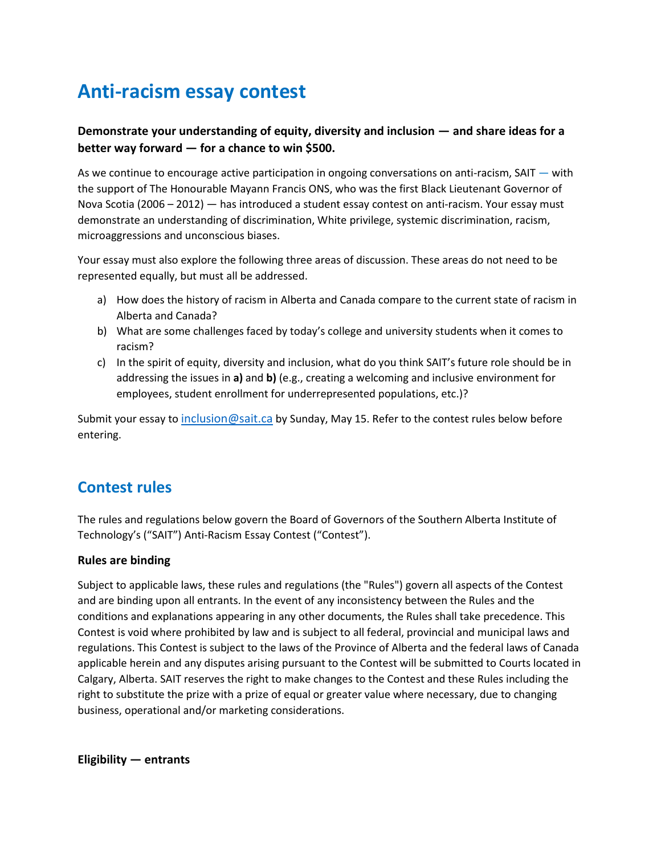# **Anti-racism essay contest**

## **Demonstrate your understanding of equity, diversity and inclusion — and share ideas for a better way forward — for a chance to win \$500.**

As we continue to encourage active participation in ongoing conversations on anti-racism, SAIT — with the support of The Honourable Mayann Francis ONS, who was the first Black Lieutenant Governor of Nova Scotia (2006 – 2012) — has introduced a student essay contest on anti-racism. Your essay must demonstrate an understanding of discrimination, White privilege, systemic discrimination, racism, microaggressions and unconscious biases.

Your essay must also explore the following three areas of discussion. These areas do not need to be represented equally, but must all be addressed.

- a) How does the history of racism in Alberta and Canada compare to the current state of racism in Alberta and Canada?
- b) What are some challenges faced by today's college and university students when it comes to racism?
- c) In the spirit of equity, diversity and inclusion, what do you think SAIT's future role should be in addressing the issues in **a)** and **b)** (e.g., creating a welcoming and inclusive environment for employees, student enrollment for underrepresented populations, etc.)?

Submit your essay to [inclusion@sait.ca](mailto:inclusion@sait.ca) by Sunday, May 15. Refer to the contest rules below before entering.

## **Contest rules**

The rules and regulations below govern the Board of Governors of the Southern Alberta Institute of Technology's ("SAIT") Anti-Racism Essay Contest ("Contest").

## **Rules are binding**

Subject to applicable laws, these rules and regulations (the "Rules") govern all aspects of the Contest and are binding upon all entrants. In the event of any inconsistency between the Rules and the conditions and explanations appearing in any other documents, the Rules shall take precedence. This Contest is void where prohibited by law and is subject to all federal, provincial and municipal laws and regulations. This Contest is subject to the laws of the Province of Alberta and the federal laws of Canada applicable herein and any disputes arising pursuant to the Contest will be submitted to Courts located in Calgary, Alberta. SAIT reserves the right to make changes to the Contest and these Rules including the right to substitute the prize with a prize of equal or greater value where necessary, due to changing business, operational and/or marketing considerations.

**Eligibility — entrants**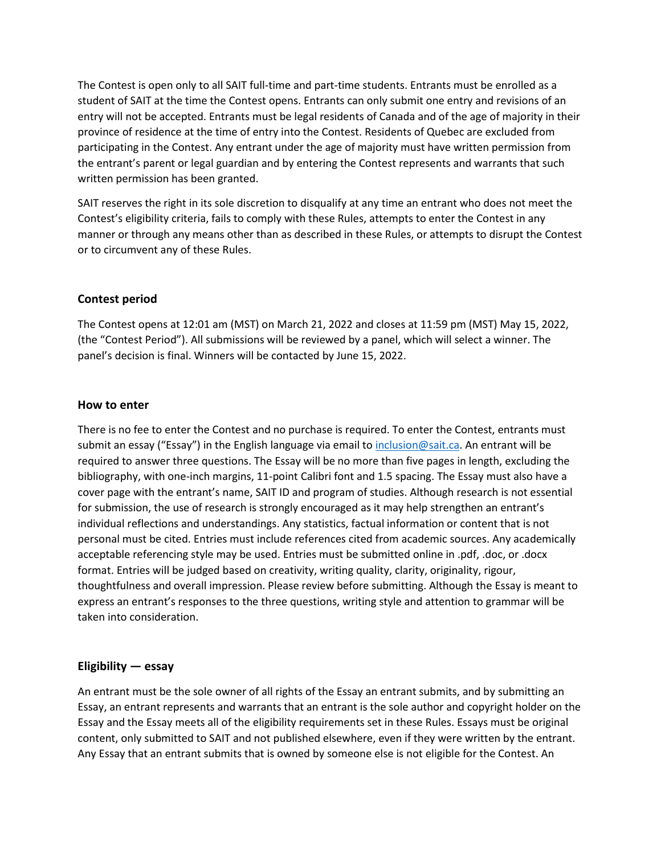The Contest is open only to all SAIT full-time and part-time students. Entrants must be enrolled as a student of SAIT at the time the Contest opens. Entrants can only submit one entry and revisions of an entry will not be accepted. Entrants must be legal residents of Canada and of the age of majority in their province of residence at the time of entry into the Contest. Residents of Quebec are excluded from participating in the Contest. Any entrant under the age of majority must have written permission from the entrant's parent or legal guardian and by entering the Contest represents and warrants that such written permission has been granted.

SAIT reserves the right in its sole discretion to disqualify at any time an entrant who does not meet the Contest's eligibility criteria, fails to comply with these Rules, attempts to enter the Contest in any manner or through any means other than as described in these Rules, or attempts to disrupt the Contest or to circumvent any of these Rules.

## **Contest period**

The Contest opens at 12:01 am (MST) on March 21, 2022 and closes at 11:59 pm (MST) May 15, 2022, (the "Contest Period"). All submissions will be reviewed by a panel, which will select a winner. The panel's decision is final. Winners will be contacted by June 15, 2022.

#### **How to enter**

There is no fee to enter the Contest and no purchase is required. To enter the Contest, entrants must submit an essay ("Essay") in the English language via email t[o inclusion@sait.ca.](mailto:inclusion@sait.ca) An entrant will be required to answer three questions. The Essay will be no more than five pages in length, excluding the bibliography, with one-inch margins, 11-point Calibri font and 1.5 spacing. The Essay must also have a cover page with the entrant's name, SAIT ID and program of studies. Although research is not essential for submission, the use of research is strongly encouraged as it may help strengthen an entrant's individual reflections and understandings. Any statistics, factual information or content that is not personal must be cited. Entries must include references cited from academic sources. Any academically acceptable referencing style may be used. Entries must be submitted online in .pdf, .doc, or .docx format. Entries will be judged based on creativity, writing quality, clarity, originality, rigour, thoughtfulness and overall impression. Please review before submitting. Although the Essay is meant to express an entrant's responses to the three questions, writing style and attention to grammar will be taken into consideration.

#### **Eligibility — essay**

An entrant must be the sole owner of all rights of the Essay an entrant submits, and by submitting an Essay, an entrant represents and warrants that an entrant is the sole author and copyright holder on the Essay and the Essay meets all of the eligibility requirements set in these Rules. Essays must be original content, only submitted to SAIT and not published elsewhere, even if they were written by the entrant. Any Essay that an entrant submits that is owned by someone else is not eligible for the Contest. An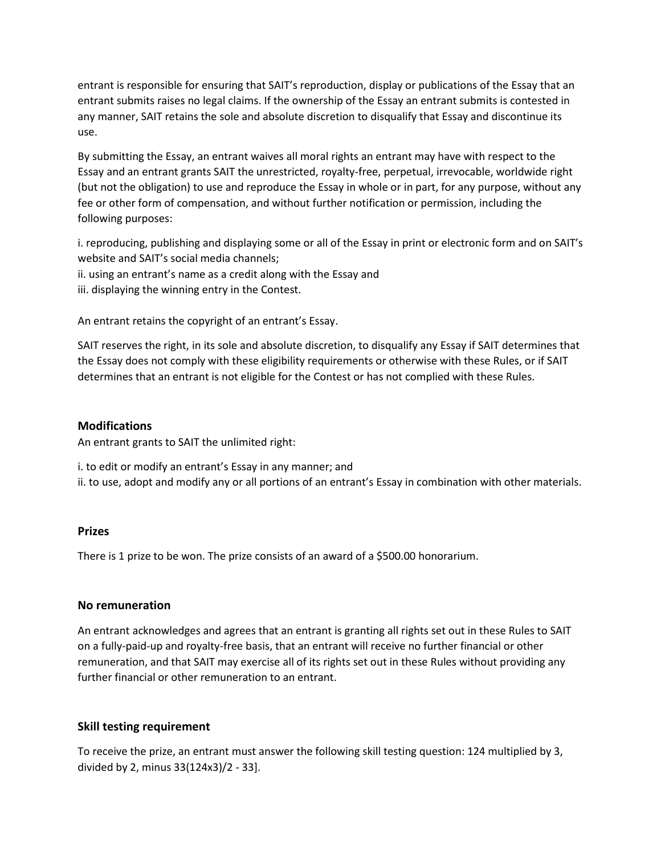entrant is responsible for ensuring that SAIT's reproduction, display or publications of the Essay that an entrant submits raises no legal claims. If the ownership of the Essay an entrant submits is contested in any manner, SAIT retains the sole and absolute discretion to disqualify that Essay and discontinue its use.

By submitting the Essay, an entrant waives all moral rights an entrant may have with respect to the Essay and an entrant grants SAIT the unrestricted, royalty-free, perpetual, irrevocable, worldwide right (but not the obligation) to use and reproduce the Essay in whole or in part, for any purpose, without any fee or other form of compensation, and without further notification or permission, including the following purposes:

i. reproducing, publishing and displaying some or all of the Essay in print or electronic form and on SAIT's website and SAIT's social media channels;

- ii. using an entrant's name as a credit along with the Essay and
- iii. displaying the winning entry in the Contest.

An entrant retains the copyright of an entrant's Essay.

SAIT reserves the right, in its sole and absolute discretion, to disqualify any Essay if SAIT determines that the Essay does not comply with these eligibility requirements or otherwise with these Rules, or if SAIT determines that an entrant is not eligible for the Contest or has not complied with these Rules.

#### **Modifications**

An entrant grants to SAIT the unlimited right:

i. to edit or modify an entrant's Essay in any manner; and

ii. to use, adopt and modify any or all portions of an entrant's Essay in combination with other materials.

#### **Prizes**

There is 1 prize to be won. The prize consists of an award of a \$500.00 honorarium.

#### **No remuneration**

An entrant acknowledges and agrees that an entrant is granting all rights set out in these Rules to SAIT on a fully-paid-up and royalty-free basis, that an entrant will receive no further financial or other remuneration, and that SAIT may exercise all of its rights set out in these Rules without providing any further financial or other remuneration to an entrant.

#### **Skill testing requirement**

To receive the prize, an entrant must answer the following skill testing question: 124 multiplied by 3, divided by 2, minus 33(124x3)/2 - 33].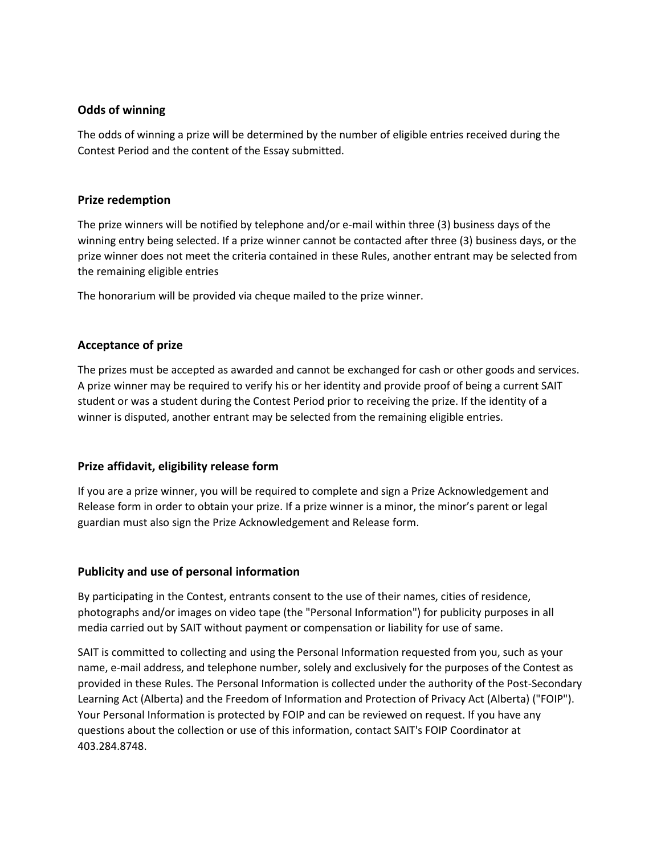### **Odds of winning**

The odds of winning a prize will be determined by the number of eligible entries received during the Contest Period and the content of the Essay submitted.

#### **Prize redemption**

The prize winners will be notified by telephone and/or e-mail within three (3) business days of the winning entry being selected. If a prize winner cannot be contacted after three (3) business days, or the prize winner does not meet the criteria contained in these Rules, another entrant may be selected from the remaining eligible entries

The honorarium will be provided via cheque mailed to the prize winner.

## **Acceptance of prize**

The prizes must be accepted as awarded and cannot be exchanged for cash or other goods and services. A prize winner may be required to verify his or her identity and provide proof of being a current SAIT student or was a student during the Contest Period prior to receiving the prize. If the identity of a winner is disputed, another entrant may be selected from the remaining eligible entries.

## **Prize affidavit, eligibility release form**

If you are a prize winner, you will be required to complete and sign a Prize Acknowledgement and Release form in order to obtain your prize. If a prize winner is a minor, the minor's parent or legal guardian must also sign the Prize Acknowledgement and Release form.

## **Publicity and use of personal information**

By participating in the Contest, entrants consent to the use of their names, cities of residence, photographs and/or images on video tape (the "Personal Information") for publicity purposes in all media carried out by SAIT without payment or compensation or liability for use of same.

SAIT is committed to collecting and using the Personal Information requested from you, such as your name, e-mail address, and telephone number, solely and exclusively for the purposes of the Contest as provided in these Rules. The Personal Information is collected under the authority of the Post-Secondary Learning Act (Alberta) and the Freedom of Information and Protection of Privacy Act (Alberta) ("FOIP"). Your Personal Information is protected by FOIP and can be reviewed on request. If you have any questions about the collection or use of this information, contact SAIT's FOIP Coordinator at 403.284.8748.